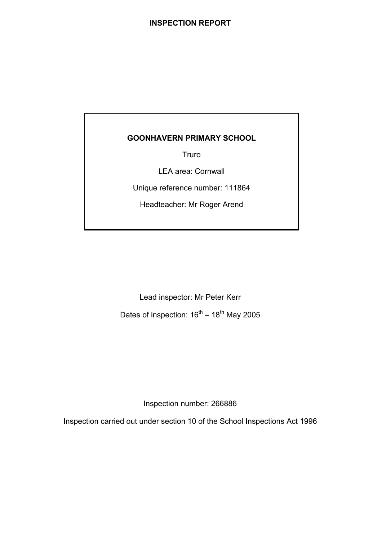## **INSPECTION REPORT**

# **GOONHAVERN PRIMARY SCHOOL**

Truro

LEA area: Cornwall

Unique reference number: 111864

Headteacher: Mr Roger Arend

Lead inspector: Mr Peter Kerr

Dates of inspection:  $16^{th} - 18^{th}$  May 2005

Inspection number: 266886

Inspection carried out under section 10 of the School Inspections Act 1996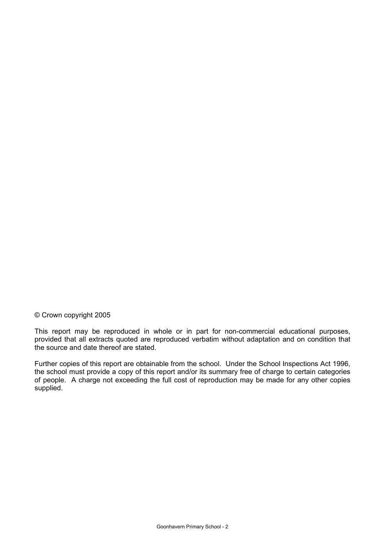## © Crown copyright 2005

This report may be reproduced in whole or in part for non-commercial educational purposes, provided that all extracts quoted are reproduced verbatim without adaptation and on condition that the source and date thereof are stated.

Further copies of this report are obtainable from the school. Under the School Inspections Act 1996, the school must provide a copy of this report and/or its summary free of charge to certain categories of people. A charge not exceeding the full cost of reproduction may be made for any other copies supplied.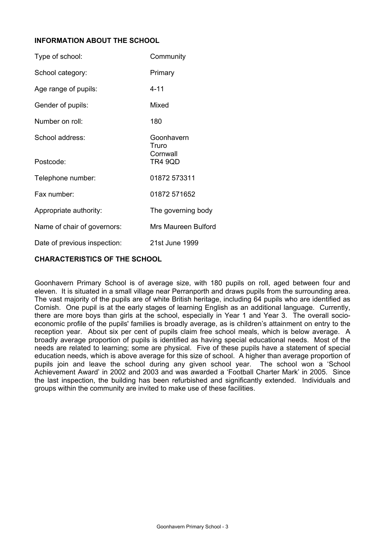## **INFORMATION ABOUT THE SCHOOL**

| Type of school:              | Community                                  |
|------------------------------|--------------------------------------------|
| School category:             | Primary                                    |
| Age range of pupils:         | $4 - 11$                                   |
| Gender of pupils:            | Mixed                                      |
| Number on roll:              | 180                                        |
| School address:<br>Postcode: | Goonhavern<br>Truro<br>Cornwall<br>TR4 9QD |
| Telephone number:            | 01872 573311                               |
| Fax number:                  | 01872 571652                               |
| Appropriate authority:       | The governing body                         |
| Name of chair of governors:  | Mrs Maureen Bulford                        |
| Date of previous inspection: | 21st June 1999                             |

#### **CHARACTERISTICS OF THE SCHOOL**

Goonhavern Primary School is of average size, with 180 pupils on roll, aged between four and eleven. It is situated in a small village near Perranporth and draws pupils from the surrounding area. The vast majority of the pupils are of white British heritage, including 64 pupils who are identified as Cornish. One pupil is at the early stages of learning English as an additional language. Currently, there are more boys than girls at the school, especially in Year 1 and Year 3. The overall socioeconomic profile of the pupils' families is broadly average, as is children's attainment on entry to the reception year. About six per cent of pupils claim free school meals, which is below average. A broadly average proportion of pupils is identified as having special educational needs. Most of the needs are related to learning; some are physical. Five of these pupils have a statement of special education needs, which is above average for this size of school. A higher than average proportion of pupils join and leave the school during any given school year. The school won a 'School Achievement Award' in 2002 and 2003 and was awarded a 'Football Charter Mark' in 2005. Since the last inspection, the building has been refurbished and significantly extended. Individuals and groups within the community are invited to make use of these facilities.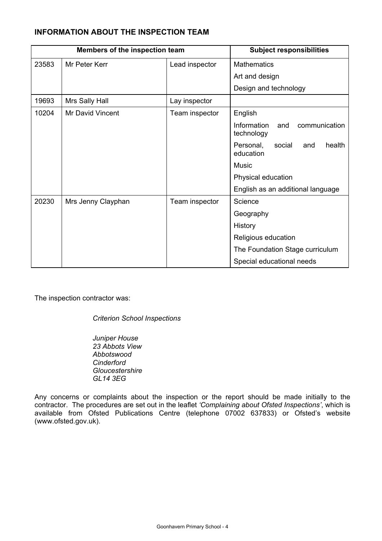# **INFORMATION ABOUT THE INSPECTION TEAM**

| Members of the inspection team |                         | <b>Subject responsibilities</b> |                                                   |  |  |
|--------------------------------|-------------------------|---------------------------------|---------------------------------------------------|--|--|
| 23583                          | Mr Peter Kerr           | Lead inspector                  | <b>Mathematics</b>                                |  |  |
|                                |                         |                                 | Art and design                                    |  |  |
|                                |                         |                                 | Design and technology                             |  |  |
| 19693                          | Mrs Sally Hall          | Lay inspector                   |                                                   |  |  |
| 10204                          | <b>Mr David Vincent</b> | Team inspector                  | English                                           |  |  |
|                                |                         |                                 | Information<br>and<br>communication<br>technology |  |  |
|                                |                         |                                 | Personal,<br>social<br>health<br>and<br>education |  |  |
|                                |                         |                                 | Music                                             |  |  |
|                                |                         |                                 | Physical education                                |  |  |
|                                |                         |                                 | English as an additional language                 |  |  |
| 20230                          | Mrs Jenny Clayphan      | Team inspector                  | Science                                           |  |  |
|                                |                         |                                 | Geography                                         |  |  |
|                                |                         |                                 | History                                           |  |  |
|                                |                         |                                 | Religious education                               |  |  |
|                                |                         |                                 | The Foundation Stage curriculum                   |  |  |
|                                |                         |                                 | Special educational needs                         |  |  |

The inspection contractor was:

*Criterion School Inspections* 

*Juniper House 23 Abbots View Abbotswood Cinderford Gloucestershire GL14 3EG* 

Any concerns or complaints about the inspection or the report should be made initially to the contractor. The procedures are set out in the leaflet *'Complaining about Ofsted Inspections'*, which is available from Ofsted Publications Centre (telephone 07002 637833) or Ofsted's website (www.ofsted.gov.uk).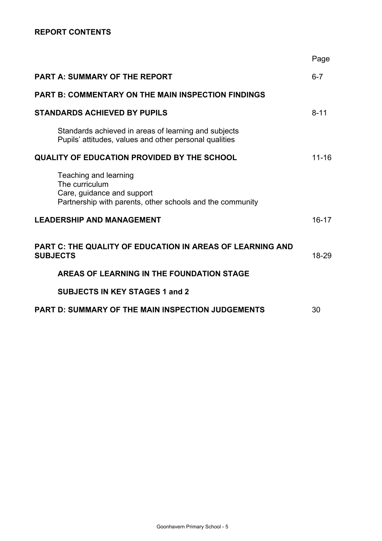# **REPORT CONTENTS**

|                                                                                                                                    | Page      |
|------------------------------------------------------------------------------------------------------------------------------------|-----------|
| <b>PART A: SUMMARY OF THE REPORT</b>                                                                                               | $6 - 7$   |
| <b>PART B: COMMENTARY ON THE MAIN INSPECTION FINDINGS</b>                                                                          |           |
| <b>STANDARDS ACHIEVED BY PUPILS</b>                                                                                                | $8 - 11$  |
| Standards achieved in areas of learning and subjects<br>Pupils' attitudes, values and other personal qualities                     |           |
| <b>QUALITY OF EDUCATION PROVIDED BY THE SCHOOL</b>                                                                                 | $11 - 16$ |
| Teaching and learning<br>The curriculum<br>Care, guidance and support<br>Partnership with parents, other schools and the community |           |
| <b>LEADERSHIP AND MANAGEMENT</b>                                                                                                   | $16 - 17$ |
| PART C: THE QUALITY OF EDUCATION IN AREAS OF LEARNING AND<br><b>SUBJECTS</b>                                                       | 18-29     |
| AREAS OF LEARNING IN THE FOUNDATION STAGE                                                                                          |           |
| <b>SUBJECTS IN KEY STAGES 1 and 2</b>                                                                                              |           |
| <b>PART D: SUMMARY OF THE MAIN INSPECTION JUDGEMENTS</b>                                                                           | 30        |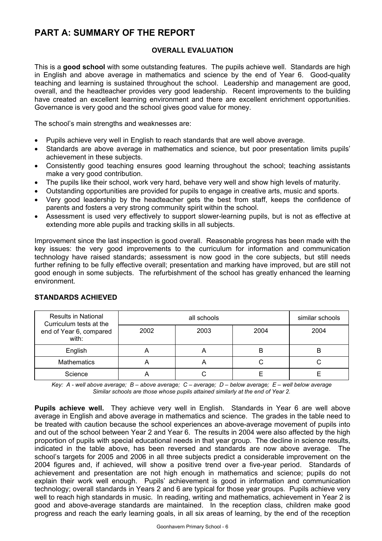# **PART A: SUMMARY OF THE REPORT**

## **OVERALL EVALUATION**

This is a **good school** with some outstanding features. The pupils achieve well. Standards are high in English and above average in mathematics and science by the end of Year 6. Good-quality teaching and learning is sustained throughout the school. Leadership and management are good, overall, and the headteacher provides very good leadership. Recent improvements to the building have created an excellent learning environment and there are excellent enrichment opportunities. Governance is very good and the school gives good value for money.

The school's main strengths and weaknesses are:

- Pupils achieve very well in English to reach standards that are well above average.
- Standards are above average in mathematics and science, but poor presentation limits pupils' achievement in these subjects.
- Consistently good teaching ensures good learning throughout the school; teaching assistants make a very good contribution.
- The pupils like their school, work very hard, behave very well and show high levels of maturity.
- Outstanding opportunities are provided for pupils to engage in creative arts, music and sports.
- Very good leadership by the headteacher gets the best from staff, keeps the confidence of parents and fosters a very strong community spirit within the school.
- Assessment is used very effectively to support slower-learning pupils, but is not as effective at extending more able pupils and tracking skills in all subjects.

Improvement since the last inspection is good overall. Reasonable progress has been made with the key issues: the very good improvements to the curriculum for information and communication technology have raised standards; assessment is now good in the core subjects, but still needs further refining to be fully effective overall; presentation and marking have improved, but are still not good enough in some subjects. The refurbishment of the school has greatly enhanced the learning environment.

| <b>Results in National</b><br>Curriculum tests at the |      | similar schools |      |      |
|-------------------------------------------------------|------|-----------------|------|------|
| end of Year 6, compared<br>with:                      | 2002 | 2003            | 2004 | 2004 |
| English                                               |      | 宀               | ь    | B    |
| <b>Mathematics</b>                                    |      | 宀               |      |      |
| Science                                               |      |                 |      |      |

## **STANDARDS ACHIEVED**

*Key: A - well above average; B – above average; C – average; D – below average; E – well below average Similar schools are those whose pupils attained similarly at the end of Year 2.* 

**Pupils achieve well.** They achieve very well in English. Standards in Year 6 are well above average in English and above average in mathematics and science. The grades in the table need to be treated with caution because the school experiences an above-average movement of pupils into and out of the school between Year 2 and Year 6. The results in 2004 were also affected by the high proportion of pupils with special educational needs in that year group. The decline in science results, indicated in the table above, has been reversed and standards are now above average. The school's targets for 2005 and 2006 in all three subjects predict a considerable improvement on the 2004 figures and, if achieved, will show a positive trend over a five-year period. Standards of achievement and presentation are not high enough in mathematics and science; pupils do not explain their work well enough. Pupils' achievement is good in information and communication technology; overall standards in Years 2 and 6 are typical for those year groups. Pupils achieve very well to reach high standards in music. In reading, writing and mathematics, achievement in Year 2 is good and above-average standards are maintained. In the reception class, children make good progress and reach the early learning goals, in all six areas of learning, by the end of the reception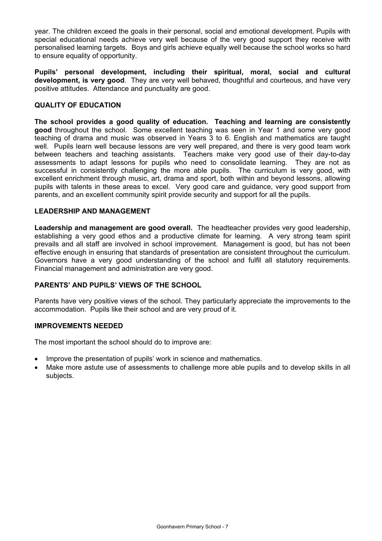year. The children exceed the goals in their personal, social and emotional development. Pupils with special educational needs achieve very well because of the very good support they receive with personalised learning targets. Boys and girls achieve equally well because the school works so hard to ensure equality of opportunity.

**Pupils' personal development, including their spiritual, moral, social and cultural development, is very good**. They are very well behaved, thoughtful and courteous, and have very positive attitudes. Attendance and punctuality are good.

#### **QUALITY OF EDUCATION**

**The school provides a good quality of education. Teaching and learning are consistently good** throughout the school. Some excellent teaching was seen in Year 1 and some very good teaching of drama and music was observed in Years 3 to 6. English and mathematics are taught well. Pupils learn well because lessons are very well prepared, and there is very good team work between teachers and teaching assistants. Teachers make very good use of their day-to-day assessments to adapt lessons for pupils who need to consolidate learning. They are not as successful in consistently challenging the more able pupils. The curriculum is very good, with excellent enrichment through music, art, drama and sport, both within and beyond lessons, allowing pupils with talents in these areas to excel. Very good care and guidance, very good support from parents, and an excellent community spirit provide security and support for all the pupils.

#### **LEADERSHIP AND MANAGEMENT**

**Leadership and management are good overall.** The headteacher provides very good leadership, establishing a very good ethos and a productive climate for learning. A very strong team spirit prevails and all staff are involved in school improvement. Management is good, but has not been effective enough in ensuring that standards of presentation are consistent throughout the curriculum. Governors have a very good understanding of the school and fulfil all statutory requirements. Financial management and administration are very good.

## **PARENTS' AND PUPILS' VIEWS OF THE SCHOOL**

Parents have very positive views of the school. They particularly appreciate the improvements to the accommodation. Pupils like their school and are very proud of it.

#### **IMPROVEMENTS NEEDED**

The most important the school should do to improve are:

- Improve the presentation of pupils' work in science and mathematics.
- Make more astute use of assessments to challenge more able pupils and to develop skills in all subjects.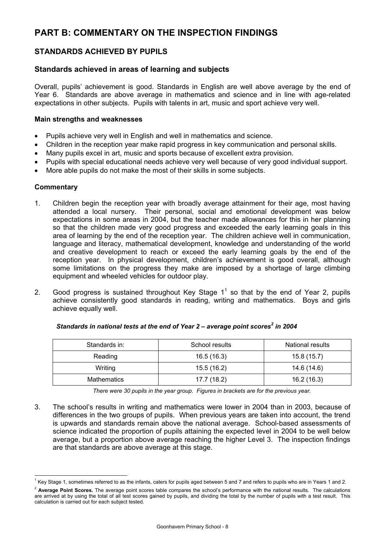# **PART B: COMMENTARY ON THE INSPECTION FINDINGS**

# **STANDARDS ACHIEVED BY PUPILS**

# **Standards achieved in areas of learning and subjects**

Overall, pupils' achievement is good. Standards in English are well above average by the end of Year 6. Standards are above average in mathematics and science and in line with age-related expectations in other subjects. Pupils with talents in art, music and sport achieve very well.

## **Main strengths and weaknesses**

- Pupils achieve very well in English and well in mathematics and science.
- Children in the reception year make rapid progress in key communication and personal skills.
- Many pupils excel in art, music and sports because of excellent extra provision.
- Pupils with special educational needs achieve very well because of very good individual support.
- More able pupils do not make the most of their skills in some subjects.

#### **Commentary**

- 1. Children begin the reception year with broadly average attainment for their age, most having attended a local nursery. Their personal, social and emotional development was below expectations in some areas in 2004, but the teacher made allowances for this in her planning so that the children made very good progress and exceeded the early learning goals in this area of learning by the end of the reception year. The children achieve well in communication, language and literacy, mathematical development, knowledge and understanding of the world and creative development to reach or exceed the early learning goals by the end of the reception year. In physical development, children's achievement is good overall, although some limitations on the progress they make are imposed by a shortage of large climbing equipment and wheeled vehicles for outdoor play.
- 2. Good progress is sustained throughout Key Stage  $1<sup>1</sup>$  so that by the end of Year 2, pupils achieve consistently good standards in reading, writing and mathematics. Boys and girls achieve equally well.

| Standards in: | School results | <b>National results</b> |
|---------------|----------------|-------------------------|
| Reading       | 16.5(16.3)     | 15.8(15.7)              |
| Writing       | 15.5 (16.2)    | 14.6 (14.6)             |
| Mathematics   | 17.7 (18.2)    | 16.2(16.3)              |

#### Standards in national tests at the end of Year 2 - average point scores<sup>2</sup> in 2004

*There were 30 pupils in the year group. Figures in brackets are for the previous year.* 

3. The school's results in writing and mathematics were lower in 2004 than in 2003, because of differences in the two groups of pupils. When previous years are taken into account, the trend is upwards and standards remain above the national average. School-based assessments of science indicated the proportion of pupils attaining the expected level in 2004 to be well below average, but a proportion above average reaching the higher Level 3. The inspection findings are that standards are above average at this stage.

l  $1$  Key Stage 1, sometimes referred to as the infants, caters for pupils aged between 5 and 7 and refers to pupils who are in Years 1 and 2.

<sup>&</sup>lt;sup>2</sup> Average Point Scores. The average point scores table compares the school's performance with the national results. The calculations are arrived at by using the total of all test scores gained by pupils, and dividing the total by the number of pupils with a test result. This calculation is carried out for each subject tested.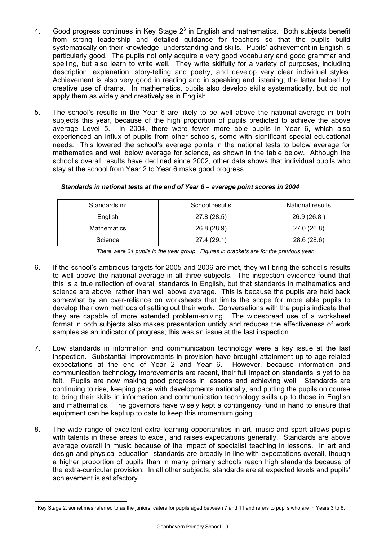- 4. Good progress continues in Key Stage  $2<sup>3</sup>$  in English and mathematics. Both subjects benefit from strong leadership and detailed guidance for teachers so that the pupils build systematically on their knowledge, understanding and skills. Pupils' achievement in English is particularly good. The pupils not only acquire a very good vocabulary and good grammar and spelling, but also learn to write well. They write skilfully for a variety of purposes, including description, explanation, story-telling and poetry, and develop very clear individual styles. Achievement is also very good in reading and in speaking and listening; the latter helped by creative use of drama. In mathematics, pupils also develop skills systematically, but do not apply them as widely and creatively as in English.
- 5. The school's results in the Year 6 are likely to be well above the national average in both subjects this year, because of the high proportion of pupils predicted to achieve the above average Level 5. In 2004, there were fewer more able pupils in Year 6, which also experienced an influx of pupils from other schools, some with significant special educational needs. This lowered the school's average points in the national tests to below average for mathematics and well below average for science, as shown in the table below. Although the school's overall results have declined since 2002, other data shows that individual pupils who stay at the school from Year 2 to Year 6 make good progress.

| Standards in: | School results | National results |
|---------------|----------------|------------------|
| English       | 27.8 (28.5)    | 26.9 (26.8)      |
| Mathematics   | 26.8 (28.9)    | 27.0 (26.8)      |
| Science       | 27.4 (29.1)    | 28.6 (28.6)      |

#### *Standards in national tests at the end of Year 6 – average point scores in 2004*

*There were 31 pupils in the year group. Figures in brackets are for the previous year.* 

- 6. If the school's ambitious targets for 2005 and 2006 are met, they will bring the school's results to well above the national average in all three subjects. The inspection evidence found that this is a true reflection of overall standards in English, but that standards in mathematics and science are above, rather than well above average. This is because the pupils are held back somewhat by an over-reliance on worksheets that limits the scope for more able pupils to develop their own methods of setting out their work. Conversations with the pupils indicate that they are capable of more extended problem-solving. The widespread use of a worksheet format in both subjects also makes presentation untidy and reduces the effectiveness of work samples as an indicator of progress; this was an issue at the last inspection.
- 7. Low standards in information and communication technology were a key issue at the last inspection. Substantial improvements in provision have brought attainment up to age-related expectations at the end of Year 2 and Year 6. However, because information and communication technology improvements are recent, their full impact on standards is yet to be felt. Pupils are now making good progress in lessons and achieving well. Standards are continuing to rise, keeping pace with developments nationally, and putting the pupils on course to bring their skills in information and communication technology skills up to those in English and mathematics. The governors have wisely kept a contingency fund in hand to ensure that equipment can be kept up to date to keep this momentum going.
- 8. The wide range of excellent extra learning opportunities in art, music and sport allows pupils with talents in these areas to excel, and raises expectations generally. Standards are above average overall in music because of the impact of specialist teaching in lessons. In art and design and physical education, standards are broadly in line with expectations overall, though a higher proportion of pupils than in many primary schools reach high standards because of the extra-curricular provision. In all other subjects, standards are at expected levels and pupils' achievement is satisfactory.

l

 $3$  Key Stage 2, sometimes referred to as the juniors, caters for pupils aged between 7 and 11 and refers to pupils who are in Years 3 to 6.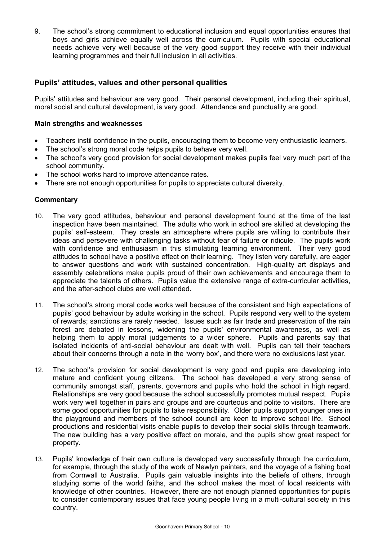9. The school's strong commitment to educational inclusion and equal opportunities ensures that boys and girls achieve equally well across the curriculum. Pupils with special educational needs achieve very well because of the very good support they receive with their individual learning programmes and their full inclusion in all activities.

## **Pupils' attitudes, values and other personal qualities**

Pupils' attitudes and behaviour are very good. Their personal development, including their spiritual, moral social and cultural development, is very good. Attendance and punctuality are good.

#### **Main strengths and weaknesses**

- Teachers instil confidence in the pupils, encouraging them to become very enthusiastic learners.
- The school's strong moral code helps pupils to behave very well.
- The school's very good provision for social development makes pupils feel very much part of the school community.
- The school works hard to improve attendance rates.
- There are not enough opportunities for pupils to appreciate cultural diversity.

- 10. The very good attitudes, behaviour and personal development found at the time of the last inspection have been maintained. The adults who work in school are skilled at developing the pupils' self-esteem. They create an atmosphere where pupils are willing to contribute their ideas and persevere with challenging tasks without fear of failure or ridicule. The pupils work with confidence and enthusiasm in this stimulating learning environment. Their very good attitudes to school have a positive effect on their learning. They listen very carefully, are eager to answer questions and work with sustained concentration. High-quality art displays and assembly celebrations make pupils proud of their own achievements and encourage them to appreciate the talents of others. Pupils value the extensive range of extra-curricular activities, and the after-school clubs are well attended.
- 11. The school's strong moral code works well because of the consistent and high expectations of pupils' good behaviour by adults working in the school. Pupils respond very well to the system of rewards; sanctions are rarely needed. Issues such as fair trade and preservation of the rain forest are debated in lessons, widening the pupils' environmental awareness, as well as helping them to apply moral judgements to a wider sphere. Pupils and parents say that isolated incidents of anti-social behaviour are dealt with well. Pupils can tell their teachers about their concerns through a note in the 'worry box', and there were no exclusions last year.
- 12. The school's provision for social development is very good and pupils are developing into mature and confident young citizens. The school has developed a very strong sense of community amongst staff, parents, governors and pupils who hold the school in high regard. Relationships are very good because the school successfully promotes mutual respect. Pupils work very well together in pairs and groups and are courteous and polite to visitors. There are some good opportunities for pupils to take responsibility. Older pupils support younger ones in the playground and members of the school council are keen to improve school life. School productions and residential visits enable pupils to develop their social skills through teamwork. The new building has a very positive effect on morale, and the pupils show great respect for property.
- 13. Pupils' knowledge of their own culture is developed very successfully through the curriculum, for example, through the study of the work of Newlyn painters, and the voyage of a fishing boat from Cornwall to Australia. Pupils gain valuable insights into the beliefs of others, through studying some of the world faiths, and the school makes the most of local residents with knowledge of other countries. However, there are not enough planned opportunities for pupils to consider contemporary issues that face young people living in a multi-cultural society in this country.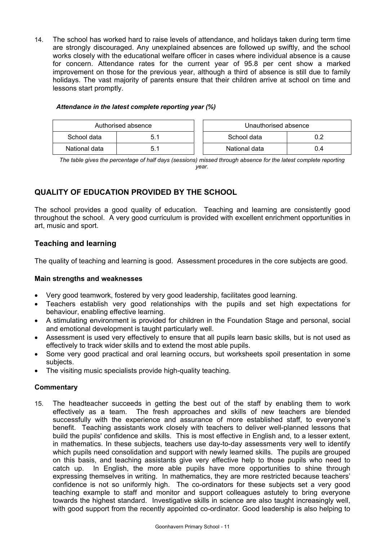14. The school has worked hard to raise levels of attendance, and holidays taken during term time are strongly discouraged. Any unexplained absences are followed up swiftly, and the school works closely with the educational welfare officer in cases where individual absence is a cause for concern. Attendance rates for the current year of 95.8 per cent show a marked improvement on those for the previous year, although a third of absence is still due to family holidays. The vast majority of parents ensure that their children arrive at school on time and lessons start promptly.

| Authorised absence |     | Unauthorised absence |  |
|--------------------|-----|----------------------|--|
| School data        | 5.1 | School data<br>0.2   |  |
| National data      | 5.1 | National data<br>0.4 |  |

#### *Attendance in the latest complete reporting year (%)*

*The table gives the percentage of half days (sessions) missed through absence for the latest complete reporting year.*

# **QUALITY OF EDUCATION PROVIDED BY THE SCHOOL**

The school provides a good quality of education. Teaching and learning are consistently good throughout the school. A very good curriculum is provided with excellent enrichment opportunities in art, music and sport.

# **Teaching and learning**

The quality of teaching and learning is good. Assessment procedures in the core subjects are good.

## **Main strengths and weaknesses**

- Very good teamwork, fostered by very good leadership, facilitates good learning.
- Teachers establish very good relationships with the pupils and set high expectations for behaviour, enabling effective learning.
- A stimulating environment is provided for children in the Foundation Stage and personal, social and emotional development is taught particularly well.
- Assessment is used very effectively to ensure that all pupils learn basic skills, but is not used as effectively to track wider skills and to extend the most able pupils.
- Some very good practical and oral learning occurs, but worksheets spoil presentation in some subjects.
- The visiting music specialists provide high-quality teaching.

#### **Commentary**

15. The headteacher succeeds in getting the best out of the staff by enabling them to work effectively as a team. The fresh approaches and skills of new teachers are blended successfully with the experience and assurance of more established staff, to everyone's benefit. Teaching assistants work closely with teachers to deliver well-planned lessons that build the pupils' confidence and skills. This is most effective in English and, to a lesser extent, in mathematics. In these subjects, teachers use day-to-day assessments very well to identify which pupils need consolidation and support with newly learned skills. The pupils are grouped on this basis, and teaching assistants give very effective help to those pupils who need to catch up. In English, the more able pupils have more opportunities to shine through expressing themselves in writing. In mathematics, they are more restricted because teachers' confidence is not so uniformly high. The co-ordinators for these subjects set a very good teaching example to staff and monitor and support colleagues astutely to bring everyone towards the highest standard. Investigative skills in science are also taught increasingly well, with good support from the recently appointed co-ordinator. Good leadership is also helping to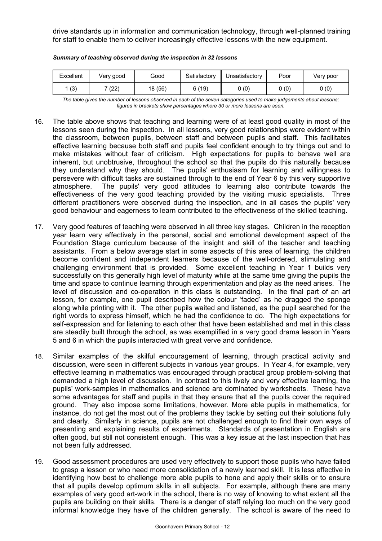drive standards up in information and communication technology, through well-planned training for staff to enable them to deliver increasingly effective lessons with the new equipment.

| Excellent | Very good | Good    | Satisfactory | Unsatisfactory | Poor | Very poor |
|-----------|-----------|---------|--------------|----------------|------|-----------|
| (3)       | (22)      | 18 (56) | 6(19)        | 0(0)           | 0(0) | 0(0)      |

*Summary of teaching observed during the inspection in 32 lessons*

*The table gives the number of lessons observed in each of the seven categories used to make judgements about lessons; figures in brackets show percentages where 30 or more lessons are seen.* 

- 16. The table above shows that teaching and learning were of at least good quality in most of the lessons seen during the inspection. In all lessons, very good relationships were evident within the classroom, between pupils, between staff and between pupils and staff. This facilitates effective learning because both staff and pupils feel confident enough to try things out and to make mistakes without fear of criticism. High expectations for pupils to behave well are inherent, but unobtrusive, throughout the school so that the pupils do this naturally because they understand why they should. The pupils' enthusiasm for learning and willingness to persevere with difficult tasks are sustained through to the end of Year 6 by this very supportive atmosphere. The pupils' very good attitudes to learning also contribute towards the effectiveness of the very good teaching provided by the visiting music specialists. Three different practitioners were observed during the inspection, and in all cases the pupils' very good behaviour and eagerness to learn contributed to the effectiveness of the skilled teaching.
- 17. Very good features of teaching were observed in all three key stages. Children in the reception year learn very effectively in the personal, social and emotional development aspect of the Foundation Stage curriculum because of the insight and skill of the teacher and teaching assistants. From a below average start in some aspects of this area of learning, the children become confident and independent learners because of the well-ordered, stimulating and challenging environment that is provided. Some excellent teaching in Year 1 builds very successfully on this generally high level of maturity while at the same time giving the pupils the time and space to continue learning through experimentation and play as the need arises. The level of discussion and co-operation in this class is outstanding. In the final part of an art lesson, for example, one pupil described how the colour 'faded' as he dragged the sponge along while printing with it. The other pupils waited and listened, as the pupil searched for the right words to express himself, which he had the confidence to do. The high expectations for self-expression and for listening to each other that have been established and met in this class are steadily built through the school, as was exemplified in a very good drama lesson in Years 5 and 6 in which the pupils interacted with great verve and confidence.
- 18. Similar examples of the skilful encouragement of learning, through practical activity and discussion, were seen in different subjects in various year groups. In Year 4, for example, very effective learning in mathematics was encouraged through practical group problem-solving that demanded a high level of discussion. In contrast to this lively and very effective learning, the pupils' work-samples in mathematics and science are dominated by worksheets. These have some advantages for staff and pupils in that they ensure that all the pupils cover the required ground. They also impose some limitations, however. More able pupils in mathematics, for instance, do not get the most out of the problems they tackle by setting out their solutions fully and clearly. Similarly in science, pupils are not challenged enough to find their own ways of presenting and explaining results of experiments. Standards of presentation in English are often good, but still not consistent enough. This was a key issue at the last inspection that has not been fully addressed.
- 19. Good assessment procedures are used very effectively to support those pupils who have failed to grasp a lesson or who need more consolidation of a newly learned skill. It is less effective in identifying how best to challenge more able pupils to hone and apply their skills or to ensure that all pupils develop optimum skills in all subjects. For example, although there are many examples of very good art-work in the school, there is no way of knowing to what extent all the pupils are building on their skills. There is a danger of staff relying too much on the very good informal knowledge they have of the children generally. The school is aware of the need to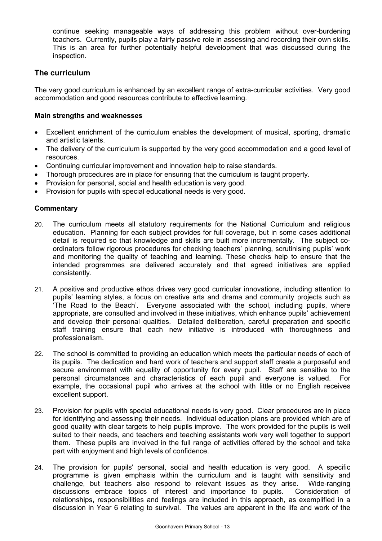continue seeking manageable ways of addressing this problem without over-burdening teachers. Currently, pupils play a fairly passive role in assessing and recording their own skills. This is an area for further potentially helpful development that was discussed during the inspection.

## **The curriculum**

The very good curriculum is enhanced by an excellent range of extra-curricular activities. Very good accommodation and good resources contribute to effective learning.

#### **Main strengths and weaknesses**

- Excellent enrichment of the curriculum enables the development of musical, sporting, dramatic and artistic talents.
- The delivery of the curriculum is supported by the very good accommodation and a good level of resources.
- Continuing curricular improvement and innovation help to raise standards.
- Thorough procedures are in place for ensuring that the curriculum is taught properly.
- Provision for personal, social and health education is very good.
- Provision for pupils with special educational needs is very good.

- 20. The curriculum meets all statutory requirements for the National Curriculum and religious education. Planning for each subject provides for full coverage, but in some cases additional detail is required so that knowledge and skills are built more incrementally. The subject coordinators follow rigorous procedures for checking teachers' planning, scrutinising pupils' work and monitoring the quality of teaching and learning. These checks help to ensure that the intended programmes are delivered accurately and that agreed initiatives are applied consistently.
- 21. A positive and productive ethos drives very good curricular innovations, including attention to pupils' learning styles, a focus on creative arts and drama and community projects such as 'The Road to the Beach'. Everyone associated with the school, including pupils, where appropriate, are consulted and involved in these initiatives, which enhance pupils' achievement and develop their personal qualities. Detailed deliberation, careful preparation and specific staff training ensure that each new initiative is introduced with thoroughness and professionalism.
- 22. The school is committed to providing an education which meets the particular needs of each of its pupils. The dedication and hard work of teachers and support staff create a purposeful and secure environment with equality of opportunity for every pupil. Staff are sensitive to the personal circumstances and characteristics of each pupil and everyone is valued. For example, the occasional pupil who arrives at the school with little or no English receives excellent support.
- 23. Provision for pupils with special educational needs is very good. Clear procedures are in place for identifying and assessing their needs. Individual education plans are provided which are of good quality with clear targets to help pupils improve. The work provided for the pupils is well suited to their needs, and teachers and teaching assistants work very well together to support them. These pupils are involved in the full range of activities offered by the school and take part with enjoyment and high levels of confidence.
- 24. The provision for pupils' personal, social and health education is very good. A specific programme is given emphasis within the curriculum and is taught with sensitivity and challenge, but teachers also respond to relevant issues as they arise. Wide-ranging discussions embrace topics of interest and importance to pupils. Consideration of discussions embrace topics of interest and importance to pupils. relationships, responsibilities and feelings are included in this approach, as exemplified in a discussion in Year 6 relating to survival. The values are apparent in the life and work of the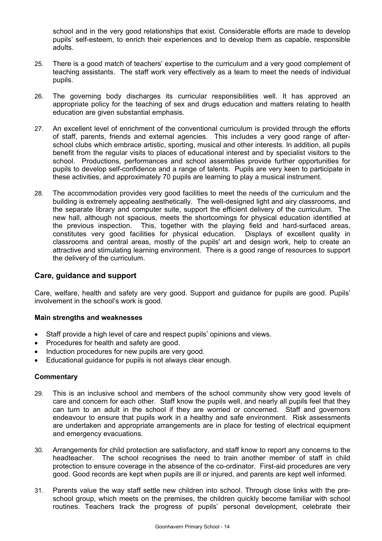school and in the very good relationships that exist. Considerable efforts are made to develop pupils' self-esteem, to enrich their experiences and to develop them as capable, responsible adults.

- 25. There is a good match of teachers' expertise to the curriculum and a very good complement of teaching assistants. The staff work very effectively as a team to meet the needs of individual pupils.
- 26. The governing body discharges its curricular responsibilities well. It has approved an appropriate policy for the teaching of sex and drugs education and matters relating to health education are given substantial emphasis.
- 27. An excellent level of enrichment of the conventional curriculum is provided through the efforts of staff, parents, friends and external agencies. This includes a very good range of afterschool clubs which embrace artistic, sporting, musical and other interests. In addition, all pupils benefit from the regular visits to places of educational interest and by specialist visitors to the school. Productions, performances and school assemblies provide further opportunities for pupils to develop self-confidence and a range of talents. Pupils are very keen to participate in these activities, and approximately 70 pupils are learning to play a musical instrument.
- 28. The accommodation provides very good facilities to meet the needs of the curriculum and the building is extremely appealing aesthetically. The well-designed light and airy classrooms, and the separate library and computer suite, support the efficient delivery of the curriculum. The new hall, although not spacious, meets the shortcomings for physical education identified at the previous inspection. This, together with the playing field and hard-surfaced areas, constitutes very good facilities for physical education. Displays of excellent quality in classrooms and central areas, mostly of the pupils' art and design work, help to create an attractive and stimulating learning environment. There is a good range of resources to support the delivery of the curriculum.

## **Care, guidance and support**

Care, welfare, health and safety are very good. Support and guidance for pupils are good. Pupils' involvement in the school's work is good.

## **Main strengths and weaknesses**

- Staff provide a high level of care and respect pupils' opinions and views.
- Procedures for health and safety are good.
- Induction procedures for new pupils are very good.
- Educational guidance for pupils is not always clear enough.

- 29. This is an inclusive school and members of the school community show very good levels of care and concern for each other. Staff know the pupils well, and nearly all pupils feel that they can turn to an adult in the school if they are worried or concerned. Staff and governors endeavour to ensure that pupils work in a healthy and safe environment. Risk assessments are undertaken and appropriate arrangements are in place for testing of electrical equipment and emergency evacuations.
- 30. Arrangements for child protection are satisfactory, and staff know to report any concerns to the headteacher. The school recognises the need to train another member of staff in child protection to ensure coverage in the absence of the co-ordinator. First-aid procedures are very good. Good records are kept when pupils are ill or injured, and parents are kept well informed.
- 31. Parents value the way staff settle new children into school. Through close links with the preschool group, which meets on the premises, the children quickly become familiar with school routines. Teachers track the progress of pupils' personal development, celebrate their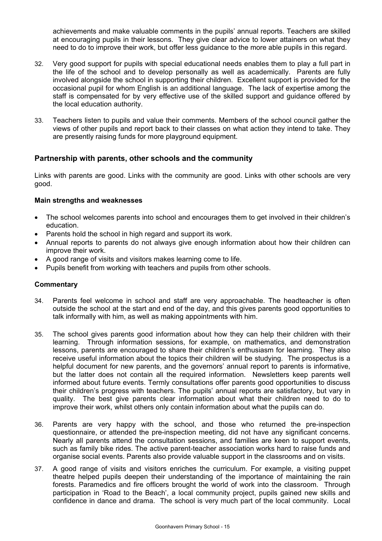achievements and make valuable comments in the pupils' annual reports. Teachers are skilled at encouraging pupils in their lessons. They give clear advice to lower attainers on what they need to do to improve their work, but offer less guidance to the more able pupils in this regard.

- 32. Very good support for pupils with special educational needs enables them to play a full part in the life of the school and to develop personally as well as academically. Parents are fully involved alongside the school in supporting their children. Excellent support is provided for the occasional pupil for whom English is an additional language. The lack of expertise among the staff is compensated for by very effective use of the skilled support and guidance offered by the local education authority.
- 33. Teachers listen to pupils and value their comments. Members of the school council gather the views of other pupils and report back to their classes on what action they intend to take. They are presently raising funds for more playground equipment.

## **Partnership with parents, other schools and the community**

Links with parents are good. Links with the community are good. Links with other schools are very good.

## **Main strengths and weaknesses**

- The school welcomes parents into school and encourages them to get involved in their children's education.
- Parents hold the school in high regard and support its work.
- Annual reports to parents do not always give enough information about how their children can improve their work.
- A good range of visits and visitors makes learning come to life.
- Pupils benefit from working with teachers and pupils from other schools.

- 34. Parents feel welcome in school and staff are very approachable. The headteacher is often outside the school at the start and end of the day, and this gives parents good opportunities to talk informally with him, as well as making appointments with him.
- 35. The school gives parents good information about how they can help their children with their learning. Through information sessions, for example, on mathematics, and demonstration lessons, parents are encouraged to share their children's enthusiasm for learning. They also receive useful information about the topics their children will be studying. The prospectus is a helpful document for new parents, and the governors' annual report to parents is informative, but the latter does not contain all the required information. Newsletters keep parents well informed about future events. Termly consultations offer parents good opportunities to discuss their children's progress with teachers. The pupils' annual reports are satisfactory, but vary in quality. The best give parents clear information about what their children need to do to improve their work, whilst others only contain information about what the pupils can do.
- 36. Parents are very happy with the school, and those who returned the pre-inspection questionnaire, or attended the pre-inspection meeting, did not have any significant concerns. Nearly all parents attend the consultation sessions, and families are keen to support events, such as family bike rides. The active parent-teacher association works hard to raise funds and organise social events. Parents also provide valuable support in the classrooms and on visits.
- 37. A good range of visits and visitors enriches the curriculum. For example, a visiting puppet theatre helped pupils deepen their understanding of the importance of maintaining the rain forests. Paramedics and fire officers brought the world of work into the classroom. Through participation in 'Road to the Beach', a local community project, pupils gained new skills and confidence in dance and drama. The school is very much part of the local community. Local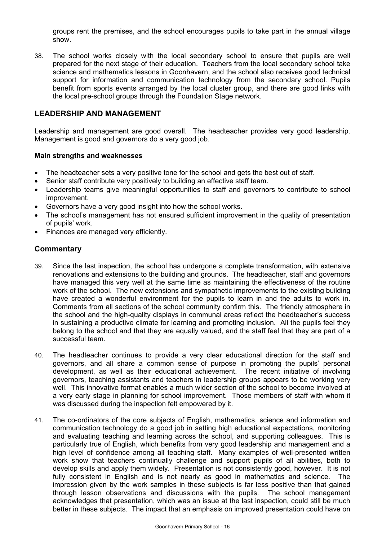groups rent the premises, and the school encourages pupils to take part in the annual village show.

38. The school works closely with the local secondary school to ensure that pupils are well prepared for the next stage of their education. Teachers from the local secondary school take science and mathematics lessons in Goonhavern, and the school also receives good technical support for information and communication technology from the secondary school. Pupils benefit from sports events arranged by the local cluster group, and there are good links with the local pre-school groups through the Foundation Stage network.

## **LEADERSHIP AND MANAGEMENT**

Leadership and management are good overall. The headteacher provides very good leadership. Management is good and governors do a very good job.

#### **Main strengths and weaknesses**

- The headteacher sets a very positive tone for the school and gets the best out of staff.
- Senior staff contribute very positively to building an effective staff team.
- Leadership teams give meaningful opportunities to staff and governors to contribute to school improvement.
- Governors have a very good insight into how the school works.
- The school's management has not ensured sufficient improvement in the quality of presentation of pupils' work.
- Finances are managed very efficiently.

- 39. Since the last inspection, the school has undergone a complete transformation, with extensive renovations and extensions to the building and grounds. The headteacher, staff and governors have managed this very well at the same time as maintaining the effectiveness of the routine work of the school. The new extensions and sympathetic improvements to the existing building have created a wonderful environment for the pupils to learn in and the adults to work in. Comments from all sections of the school community confirm this. The friendly atmosphere in the school and the high-quality displays in communal areas reflect the headteacher's success in sustaining a productive climate for learning and promoting inclusion. All the pupils feel they belong to the school and that they are equally valued, and the staff feel that they are part of a successful team.
- 40. The headteacher continues to provide a very clear educational direction for the staff and governors, and all share a common sense of purpose in promoting the pupils' personal development, as well as their educational achievement. The recent initiative of involving governors, teaching assistants and teachers in leadership groups appears to be working very well. This innovative format enables a much wider section of the school to become involved at a very early stage in planning for school improvement. Those members of staff with whom it was discussed during the inspection felt empowered by it.
- 41. The co-ordinators of the core subjects of English, mathematics, science and information and communication technology do a good job in setting high educational expectations, monitoring and evaluating teaching and learning across the school, and supporting colleagues. This is particularly true of English, which benefits from very good leadership and management and a high level of confidence among all teaching staff. Many examples of well-presented written work show that teachers continually challenge and support pupils of all abilities, both to develop skills and apply them widely. Presentation is not consistently good, however. It is not fully consistent in English and is not nearly as good in mathematics and science. The impression given by the work samples in these subjects is far less positive than that gained through lesson observations and discussions with the pupils. The school management acknowledges that presentation, which was an issue at the last inspection, could still be much better in these subjects. The impact that an emphasis on improved presentation could have on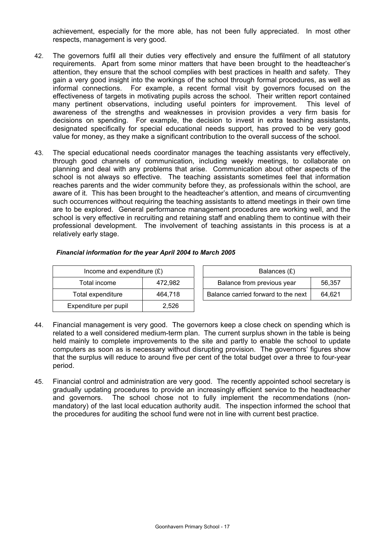achievement, especially for the more able, has not been fully appreciated. In most other respects, management is very good.

- 42. The governors fulfil all their duties very effectively and ensure the fulfilment of all statutory requirements. Apart from some minor matters that have been brought to the headteacher's attention, they ensure that the school complies with best practices in health and safety. They gain a very good insight into the workings of the school through formal procedures, as well as informal connections. For example, a recent formal visit by governors focused on the effectiveness of targets in motivating pupils across the school. Their written report contained many pertinent observations, including useful pointers for improvement. This level of awareness of the strengths and weaknesses in provision provides a very firm basis for decisions on spending. For example, the decision to invest in extra teaching assistants, designated specifically for special educational needs support, has proved to be very good value for money, as they make a significant contribution to the overall success of the school.
- 43. The special educational needs coordinator manages the teaching assistants very effectively, through good channels of communication, including weekly meetings, to collaborate on planning and deal with any problems that arise. Communication about other aspects of the school is not always so effective. The teaching assistants sometimes feel that information reaches parents and the wider community before they, as professionals within the school, are aware of it. This has been brought to the headteacher's attention, and means of circumventing such occurrences without requiring the teaching assistants to attend meetings in their own time are to be explored. General performance management procedures are working well, and the school is very effective in recruiting and retaining staff and enabling them to continue with their professional development. The involvement of teaching assistants in this process is at a relatively early stage.

| Income and expenditure $(E)$ |         |  | Balances $(E)$                   |
|------------------------------|---------|--|----------------------------------|
| Total income                 | 472.982 |  | Balance from previous year       |
| Total expenditure            | 464.718 |  | Balance carried forward to the r |
| Expenditure per pupil        | 2,526   |  |                                  |

| Financial information for the year April 2004 to March 2005 |
|-------------------------------------------------------------|
|                                                             |

| Income and expenditure $(E)$ |         | Balances (£)                        |        |  |
|------------------------------|---------|-------------------------------------|--------|--|
| Total income                 | 472.982 | Balance from previous year          | 56.357 |  |
| Total expenditure            | 464.718 | Balance carried forward to the next | 64.621 |  |

- 44. Financial management is very good. The governors keep a close check on spending which is related to a well considered medium-term plan. The current surplus shown in the table is being held mainly to complete improvements to the site and partly to enable the school to update computers as soon as is necessary without disrupting provision. The governors' figures show that the surplus will reduce to around five per cent of the total budget over a three to four-year period.
- 45. Financial control and administration are very good. The recently appointed school secretary is gradually updating procedures to provide an increasingly efficient service to the headteacher and governors. The school chose not to fully implement the recommendations (nonmandatory) of the last local education authority audit. The inspection informed the school that the procedures for auditing the school fund were not in line with current best practice.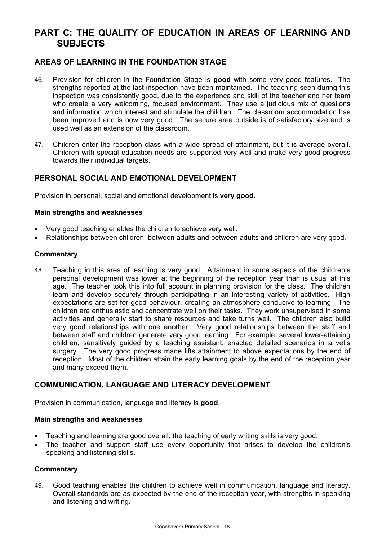# **PART C: THE QUALITY OF EDUCATION IN AREAS OF LEARNING AND SUBJECTS**

# **AREAS OF LEARNING IN THE FOUNDATION STAGE**

- 46. Provision for children in the Foundation Stage is **good** with some very good features. The strengths reported at the last inspection have been maintained. The teaching seen during this inspection was consistently good, due to the experience and skill of the teacher and her team who create a very welcoming, focused environment. They use a judicious mix of questions and information which interest and stimulate the children. The classroom accommodation has been improved and is now very good. The secure area outside is of satisfactory size and is used well as an extension of the classroom.
- 47. Children enter the reception class with a wide spread of attainment, but it is average overall. Children with special education needs are supported very well and make very good progress towards their individual targets.

# **PERSONAL SOCIAL AND EMOTIONAL DEVELOPMENT**

Provision in personal, social and emotional development is **very good**.

#### **Main strengths and weaknesses**

- Very good teaching enables the children to achieve very well.
- Relationships between children, between adults and between adults and children are very good.

#### **Commentary**

48. Teaching in this area of learning is very good. Attainment in some aspects of the children's personal development was lower at the beginning of the reception year than is usual at this age. The teacher took this into full account in planning provision for the class. The children learn and develop securely through participating in an interesting variety of activities. High expectations are set for good behaviour, creating an atmosphere conducive to learning. The children are enthusiastic and concentrate well on their tasks. They work unsupervised in some activities and generally start to share resources and take turns well. The children also build very good relationships with one another. Very good relationships between the staff and between staff and children generate very good learning. For example, several lower-attaining children, sensitively guided by a teaching assistant, enacted detailed scenarios in a vet's surgery. The very good progress made lifts attainment to above expectations by the end of reception. Most of the children attain the early learning goals by the end of the reception year and many exceed them.

## **COMMUNICATION, LANGUAGE AND LITERACY DEVELOPMENT**

Provision in communication, language and literacy is **good**.

## **Main strengths and weaknesses**

- Teaching and learning are good overall; the teaching of early writing skills is very good.
- The teacher and support staff use every opportunity that arises to develop the children's speaking and listening skills.

## **Commentary**

49. Good teaching enables the children to achieve well in communication, language and literacy. Overall standards are as expected by the end of the reception year, with strengths in speaking and listening and writing.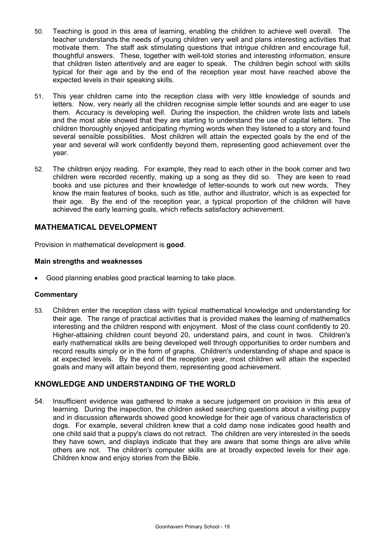- 50. Teaching is good in this area of learning, enabling the children to achieve well overall. The teacher understands the needs of young children very well and plans interesting activities that motivate them. The staff ask stimulating questions that intrigue children and encourage full, thoughtful answers. These, together with well-told stories and interesting information, ensure that children listen attentively and are eager to speak. The children begin school with skills typical for their age and by the end of the reception year most have reached above the expected levels in their speaking skills.
- 51. This year children came into the reception class with very little knowledge of sounds and letters. Now, very nearly all the children recognise simple letter sounds and are eager to use them. Accuracy is developing well. During the inspection, the children wrote lists and labels and the most able showed that they are starting to understand the use of capital letters. The children thoroughly enjoyed anticipating rhyming words when they listened to a story and found several sensible possibilities. Most children will attain the expected goals by the end of the year and several will work confidently beyond them, representing good achievement over the year.
- 52. The children enjoy reading. For example, they read to each other in the book corner and two children were recorded recently, making up a song as they did so. They are keen to read books and use pictures and their knowledge of letter-sounds to work out new words. They know the main features of books, such as title, author and illustrator, which is as expected for their age. By the end of the reception year, a typical proportion of the children will have achieved the early learning goals, which reflects satisfactory achievement.

## **MATHEMATICAL DEVELOPMENT**

Provision in mathematical development is **good**.

#### **Main strengths and weaknesses**

• Good planning enables good practical learning to take place.

#### **Commentary**

53. Children enter the reception class with typical mathematical knowledge and understanding for their age. The range of practical activities that is provided makes the learning of mathematics interesting and the children respond with enjoyment. Most of the class count confidently to 20. Higher-attaining children count beyond 20, understand pairs, and count in twos. Children's early mathematical skills are being developed well through opportunities to order numbers and record results simply or in the form of graphs. Children's understanding of shape and space is at expected levels. By the end of the reception year, most children will attain the expected goals and many will attain beyond them, representing good achievement.

## **KNOWLEDGE AND UNDERSTANDING OF THE WORLD**

54. Insufficient evidence was gathered to make a secure judgement on provision in this area of learning. During the inspection, the children asked searching questions about a visiting puppy and in discussion afterwards showed good knowledge for their age of various characteristics of dogs. For example, several children knew that a cold damp nose indicates good health and one child said that a puppy's claws do not retract. The children are very interested in the seeds they have sown, and displays indicate that they are aware that some things are alive while others are not. The children's computer skills are at broadly expected levels for their age. Children know and enjoy stories from the Bible.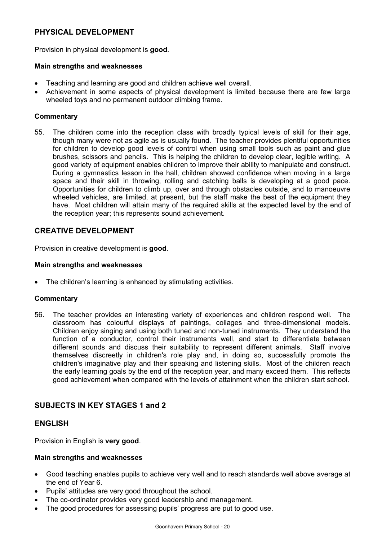# **PHYSICAL DEVELOPMENT**

Provision in physical development is **good**.

#### **Main strengths and weaknesses**

- Teaching and learning are good and children achieve well overall.
- Achievement in some aspects of physical development is limited because there are few large wheeled toys and no permanent outdoor climbing frame.

#### **Commentary**

55. The children come into the reception class with broadly typical levels of skill for their age, though many were not as agile as is usually found. The teacher provides plentiful opportunities for children to develop good levels of control when using small tools such as paint and glue brushes, scissors and pencils. This is helping the children to develop clear, legible writing. A good variety of equipment enables children to improve their ability to manipulate and construct. During a gymnastics lesson in the hall, children showed confidence when moving in a large space and their skill in throwing, rolling and catching balls is developing at a good pace. Opportunities for children to climb up, over and through obstacles outside, and to manoeuvre wheeled vehicles, are limited, at present, but the staff make the best of the equipment they have. Most children will attain many of the required skills at the expected level by the end of the reception year; this represents sound achievement.

## **CREATIVE DEVELOPMENT**

Provision in creative development is **good**.

#### **Main strengths and weaknesses**

The children's learning is enhanced by stimulating activities.

#### **Commentary**

56. The teacher provides an interesting variety of experiences and children respond well. The classroom has colourful displays of paintings, collages and three-dimensional models. Children enjoy singing and using both tuned and non-tuned instruments. They understand the function of a conductor, control their instruments well, and start to differentiate between different sounds and discuss their suitability to represent different animals. Staff involve themselves discreetly in children's role play and, in doing so, successfully promote the children's imaginative play and their speaking and listening skills. Most of the children reach the early learning goals by the end of the reception year, and many exceed them. This reflects good achievement when compared with the levels of attainment when the children start school.

# **SUBJECTS IN KEY STAGES 1 and 2**

## **ENGLISH**

Provision in English is **very good**.

#### **Main strengths and weaknesses**

- Good teaching enables pupils to achieve very well and to reach standards well above average at the end of Year 6.
- Pupils' attitudes are very good throughout the school.
- The co-ordinator provides very good leadership and management.
- The good procedures for assessing pupils' progress are put to good use.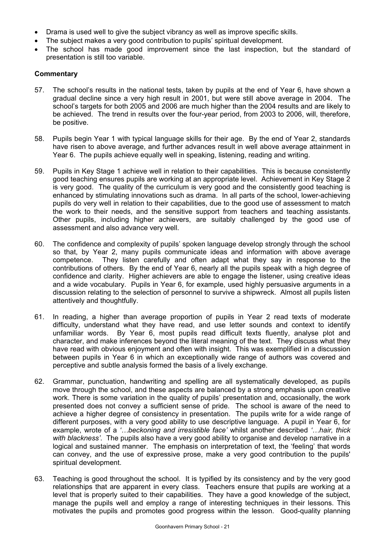- Drama is used well to give the subject vibrancy as well as improve specific skills.
- The subject makes a very good contribution to pupils' spiritual development.
- The school has made good improvement since the last inspection, but the standard of presentation is still too variable.

- 57. The school's results in the national tests, taken by pupils at the end of Year 6, have shown a gradual decline since a very high result in 2001, but were still above average in 2004. The school's targets for both 2005 and 2006 are much higher than the 2004 results and are likely to be achieved. The trend in results over the four-year period, from 2003 to 2006, will, therefore, be positive.
- 58. Pupils begin Year 1 with typical language skills for their age. By the end of Year 2, standards have risen to above average, and further advances result in well above average attainment in Year 6. The pupils achieve equally well in speaking, listening, reading and writing.
- 59. Pupils in Key Stage 1 achieve well in relation to their capabilities. This is because consistently good teaching ensures pupils are working at an appropriate level. Achievement in Key Stage 2 is very good. The quality of the curriculum is very good and the consistently good teaching is enhanced by stimulating innovations such as drama. In all parts of the school, lower-achieving pupils do very well in relation to their capabilities, due to the good use of assessment to match the work to their needs, and the sensitive support from teachers and teaching assistants. Other pupils, including higher achievers, are suitably challenged by the good use of assessment and also advance very well.
- 60. The confidence and complexity of pupils' spoken language develop strongly through the school so that, by Year 2, many pupils communicate ideas and information with above average competence. They listen carefully and often adapt what they say in response to the contributions of others. By the end of Year 6, nearly all the pupils speak with a high degree of confidence and clarity. Higher achievers are able to engage the listener, using creative ideas and a wide vocabulary. Pupils in Year 6, for example, used highly persuasive arguments in a discussion relating to the selection of personnel to survive a shipwreck. Almost all pupils listen attentively and thoughtfully.
- 61. In reading, a higher than average proportion of pupils in Year 2 read texts of moderate difficulty, understand what they have read, and use letter sounds and context to identify unfamiliar words. By Year 6, most pupils read difficult texts fluently, analyse plot and character, and make inferences beyond the literal meaning of the text. They discuss what they have read with obvious enjoyment and often with insight. This was exemplified in a discussion between pupils in Year 6 in which an exceptionally wide range of authors was covered and perceptive and subtle analysis formed the basis of a lively exchange.
- 62. Grammar, punctuation, handwriting and spelling are all systematically developed, as pupils move through the school, and these aspects are balanced by a strong emphasis upon creative work. There is some variation in the quality of pupils' presentation and, occasionally, the work presented does not convey a sufficient sense of pride. The school is aware of the need to achieve a higher degree of consistency in presentation. The pupils write for a wide range of different purposes, with a very good ability to use descriptive language. A pupil in Year 6, for example, wrote of a *'…beckoning and irresistible face'* whilst another described *'…hair, thick with blackness'*. The pupils also have a very good ability to organise and develop narrative in a logical and sustained manner. The emphasis on interpretation of text, the 'feeling' that words can convey, and the use of expressive prose, make a very good contribution to the pupils' spiritual development.
- 63. Teaching is good throughout the school. It is typified by its consistency and by the very good relationships that are apparent in every class. Teachers ensure that pupils are working at a level that is properly suited to their capabilities. They have a good knowledge of the subject, manage the pupils well and employ a range of interesting techniques in their lessons. This motivates the pupils and promotes good progress within the lesson. Good-quality planning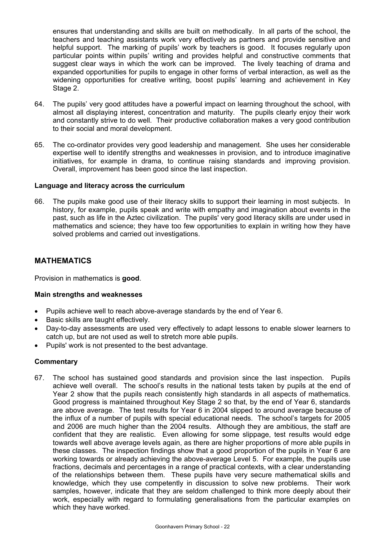ensures that understanding and skills are built on methodically. In all parts of the school, the teachers and teaching assistants work very effectively as partners and provide sensitive and helpful support. The marking of pupils' work by teachers is good. It focuses regularly upon particular points within pupils' writing and provides helpful and constructive comments that suggest clear ways in which the work can be improved. The lively teaching of drama and expanded opportunities for pupils to engage in other forms of verbal interaction, as well as the widening opportunities for creative writing, boost pupils' learning and achievement in Key Stage 2.

- 64. The pupils' very good attitudes have a powerful impact on learning throughout the school, with almost all displaying interest, concentration and maturity. The pupils clearly enjoy their work and constantly strive to do well. Their productive collaboration makes a very good contribution to their social and moral development.
- 65. The co-ordinator provides very good leadership and management. She uses her considerable expertise well to identify strengths and weaknesses in provision, and to introduce imaginative initiatives, for example in drama, to continue raising standards and improving provision. Overall, improvement has been good since the last inspection.

#### **Language and literacy across the curriculum**

66. The pupils make good use of their literacy skills to support their learning in most subjects. In history, for example, pupils speak and write with empathy and imagination about events in the past, such as life in the Aztec civilization. The pupils' very good literacy skills are under used in mathematics and science; they have too few opportunities to explain in writing how they have solved problems and carried out investigations.

## **MATHEMATICS**

Provision in mathematics is **good**.

#### **Main strengths and weaknesses**

- Pupils achieve well to reach above-average standards by the end of Year 6.
- Basic skills are taught effectively.
- Day-to-day assessments are used very effectively to adapt lessons to enable slower learners to catch up, but are not used as well to stretch more able pupils.
- Pupils' work is not presented to the best advantage.

#### **Commentary**

67. The school has sustained good standards and provision since the last inspection. Pupils achieve well overall. The school's results in the national tests taken by pupils at the end of Year 2 show that the pupils reach consistently high standards in all aspects of mathematics. Good progress is maintained throughout Key Stage 2 so that, by the end of Year 6, standards are above average. The test results for Year 6 in 2004 slipped to around average because of the influx of a number of pupils with special educational needs. The school's targets for 2005 and 2006 are much higher than the 2004 results. Although they are ambitious, the staff are confident that they are realistic. Even allowing for some slippage, test results would edge towards well above average levels again, as there are higher proportions of more able pupils in these classes. The inspection findings show that a good proportion of the pupils in Year 6 are working towards or already achieving the above-average Level 5. For example, the pupils use fractions, decimals and percentages in a range of practical contexts, with a clear understanding of the relationships between them. These pupils have very secure mathematical skills and knowledge, which they use competently in discussion to solve new problems. Their work samples, however, indicate that they are seldom challenged to think more deeply about their work, especially with regard to formulating generalisations from the particular examples on which they have worked.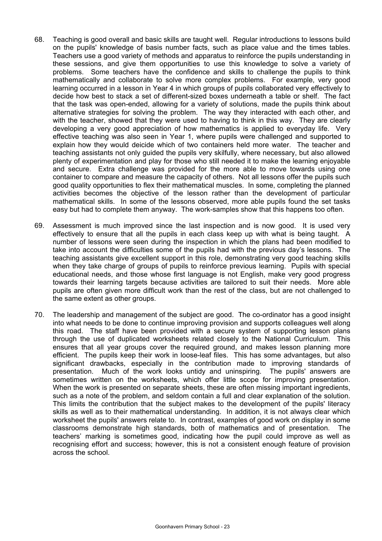- 68. Teaching is good overall and basic skills are taught well. Regular introductions to lessons build on the pupils' knowledge of basis number facts, such as place value and the times tables. Teachers use a good variety of methods and apparatus to reinforce the pupils understanding in these sessions, and give them opportunities to use this knowledge to solve a variety of problems. Some teachers have the confidence and skills to challenge the pupils to think mathematically and collaborate to solve more complex problems. For example, very good learning occurred in a lesson in Year 4 in which groups of pupils collaborated very effectively to decide how best to stack a set of different-sized boxes underneath a table or shelf. The fact that the task was open-ended, allowing for a variety of solutions, made the pupils think about alternative strategies for solving the problem. The way they interacted with each other, and with the teacher, showed that they were used to having to think in this way. They are clearly developing a very good appreciation of how mathematics is applied to everyday life. Very effective teaching was also seen in Year 1, where pupils were challenged and supported to explain how they would deicide which of two containers held more water. The teacher and teaching assistants not only guided the pupils very skilfully, where necessary, but also allowed plenty of experimentation and play for those who still needed it to make the learning enjoyable and secure. Extra challenge was provided for the more able to move towards using one container to compare and measure the capacity of others. Not all lessons offer the pupils such good quality opportunities to flex their mathematical muscles. In some, completing the planned activities becomes the objective of the lesson rather than the development of particular mathematical skills. In some of the lessons observed, more able pupils found the set tasks easy but had to complete them anyway. The work-samples show that this happens too often.
- 69. Assessment is much improved since the last inspection and is now good. It is used very effectively to ensure that all the pupils in each class keep up with what is being taught. A number of lessons were seen during the inspection in which the plans had been modified to take into account the difficulties some of the pupils had with the previous day's lessons. The teaching assistants give excellent support in this role, demonstrating very good teaching skills when they take charge of groups of pupils to reinforce previous learning. Pupils with special educational needs, and those whose first language is not English, make very good progress towards their learning targets because activities are tailored to suit their needs. More able pupils are often given more difficult work than the rest of the class, but are not challenged to the same extent as other groups.
- 70. The leadership and management of the subject are good. The co-ordinator has a good insight into what needs to be done to continue improving provision and supports colleagues well along this road. The staff have been provided with a secure system of supporting lesson plans through the use of duplicated worksheets related closely to the National Curriculum. This ensures that all year groups cover the required ground, and makes lesson planning more efficient. The pupils keep their work in loose-leaf files. This has some advantages, but also significant drawbacks, especially in the contribution made to improving standards of presentation. Much of the work looks untidy and uninspiring. The pupils' answers are sometimes written on the worksheets, which offer little scope for improving presentation. When the work is presented on separate sheets, these are often missing important ingredients, such as a note of the problem, and seldom contain a full and clear explanation of the solution. This limits the contribution that the subject makes to the development of the pupils' literacy skills as well as to their mathematical understanding. In addition, it is not always clear which worksheet the pupils' answers relate to. In contrast, examples of good work on display in some classrooms demonstrate high standards, both of mathematics and of presentation. The teachers' marking is sometimes good, indicating how the pupil could improve as well as recognising effort and success; however, this is not a consistent enough feature of provision across the school.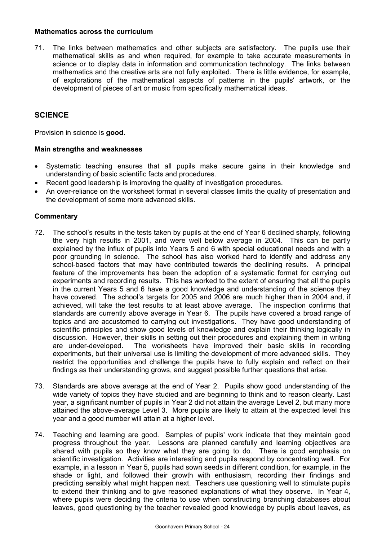#### **Mathematics across the curriculum**

71. The links between mathematics and other subjects are satisfactory. The pupils use their mathematical skills as and when required, for example to take accurate measurements in science or to display data in information and communication technology. The links between mathematics and the creative arts are not fully exploited. There is little evidence, for example, of explorations of the mathematical aspects of patterns in the pupils' artwork, or the development of pieces of art or music from specifically mathematical ideas.

## **SCIENCE**

Provision in science is **good**.

#### **Main strengths and weaknesses**

- Systematic teaching ensures that all pupils make secure gains in their knowledge and understanding of basic scientific facts and procedures.
- Recent good leadership is improving the quality of investigation procedures.
- An over-reliance on the worksheet format in several classes limits the quality of presentation and the development of some more advanced skills.

- 72. The school's results in the tests taken by pupils at the end of Year 6 declined sharply, following the very high results in 2001, and were well below average in 2004. This can be partly explained by the influx of pupils into Years 5 and 6 with special educational needs and with a poor grounding in science. The school has also worked hard to identify and address any school-based factors that may have contributed towards the declining results. A principal feature of the improvements has been the adoption of a systematic format for carrying out experiments and recording results. This has worked to the extent of ensuring that all the pupils in the current Years 5 and 6 have a good knowledge and understanding of the science they have covered. The school's targets for 2005 and 2006 are much higher than in 2004 and, if achieved, will take the test results to at least above average. The inspection confirms that standards are currently above average in Year 6. The pupils have covered a broad range of topics and are accustomed to carrying out investigations. They have good understanding of scientific principles and show good levels of knowledge and explain their thinking logically in discussion. However, their skills in setting out their procedures and explaining them in writing are under-developed. The worksheets have improved their basic skills in recording experiments, but their universal use is limiting the development of more advanced skills. They restrict the opportunities and challenge the pupils have to fully explain and reflect on their findings as their understanding grows, and suggest possible further questions that arise.
- 73. Standards are above average at the end of Year 2. Pupils show good understanding of the wide variety of topics they have studied and are beginning to think and to reason clearly. Last year, a significant number of pupils in Year 2 did not attain the average Level 2, but many more attained the above-average Level 3. More pupils are likely to attain at the expected level this year and a good number will attain at a higher level.
- 74. Teaching and learning are good. Samples of pupils' work indicate that they maintain good progress throughout the year. Lessons are planned carefully and learning objectives are shared with pupils so they know what they are going to do. There is good emphasis on scientific investigation. Activities are interesting and pupils respond by concentrating well. For example, in a lesson in Year 5, pupils had sown seeds in different condition, for example, in the shade or light, and followed their growth with enthusiasm, recording their findings and predicting sensibly what might happen next. Teachers use questioning well to stimulate pupils to extend their thinking and to give reasoned explanations of what they observe. In Year 4, where pupils were deciding the criteria to use when constructing branching databases about leaves, good questioning by the teacher revealed good knowledge by pupils about leaves, as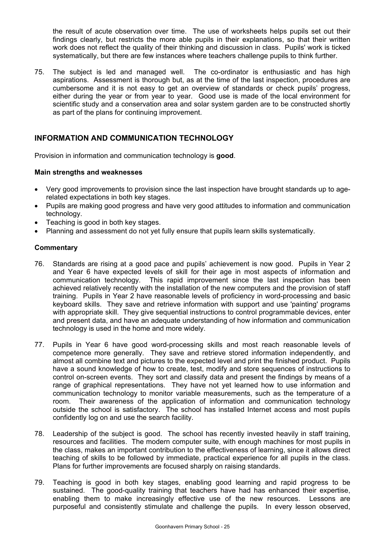the result of acute observation over time. The use of worksheets helps pupils set out their findings clearly, but restricts the more able pupils in their explanations, so that their written work does not reflect the quality of their thinking and discussion in class. Pupils' work is ticked systematically, but there are few instances where teachers challenge pupils to think further.

75. The subject is led and managed well. The co-ordinator is enthusiastic and has high aspirations. Assessment is thorough but, as at the time of the last inspection, procedures are cumbersome and it is not easy to get an overview of standards or check pupils' progress. either during the year or from year to year. Good use is made of the local environment for scientific study and a conservation area and solar system garden are to be constructed shortly as part of the plans for continuing improvement.

# **INFORMATION AND COMMUNICATION TECHNOLOGY**

Provision in information and communication technology is **good**.

#### **Main strengths and weaknesses**

- Very good improvements to provision since the last inspection have brought standards up to agerelated expectations in both key stages.
- Pupils are making good progress and have very good attitudes to information and communication technology.
- Teaching is good in both key stages.
- Planning and assessment do not yet fully ensure that pupils learn skills systematically.

- 76. Standards are rising at a good pace and pupils' achievement is now good. Pupils in Year 2 and Year 6 have expected levels of skill for their age in most aspects of information and communication technology. This rapid improvement since the last inspection has been achieved relatively recently with the installation of the new computers and the provision of staff training. Pupils in Year 2 have reasonable levels of proficiency in word-processing and basic keyboard skills. They save and retrieve information with support and use 'painting' programs with appropriate skill. They give sequential instructions to control programmable devices, enter and present data, and have an adequate understanding of how information and communication technology is used in the home and more widely.
- 77. Pupils in Year 6 have good word-processing skills and most reach reasonable levels of competence more generally. They save and retrieve stored information independently, and almost all combine text and pictures to the expected level and print the finished product. Pupils have a sound knowledge of how to create, test, modify and store sequences of instructions to control on-screen events. They sort and classify data and present the findings by means of a range of graphical representations. They have not yet learned how to use information and communication technology to monitor variable measurements, such as the temperature of a room. Their awareness of the application of information and communication technology outside the school is satisfactory. The school has installed Internet access and most pupils confidently log on and use the search facility.
- 78. Leadership of the subject is good. The school has recently invested heavily in staff training, resources and facilities. The modern computer suite, with enough machines for most pupils in the class, makes an important contribution to the effectiveness of learning, since it allows direct teaching of skills to be followed by immediate, practical experience for all pupils in the class. Plans for further improvements are focused sharply on raising standards.
- 79. Teaching is good in both key stages, enabling good learning and rapid progress to be sustained. The good-quality training that teachers have had has enhanced their expertise, enabling them to make increasingly effective use of the new resources. Lessons are purposeful and consistently stimulate and challenge the pupils. In every lesson observed,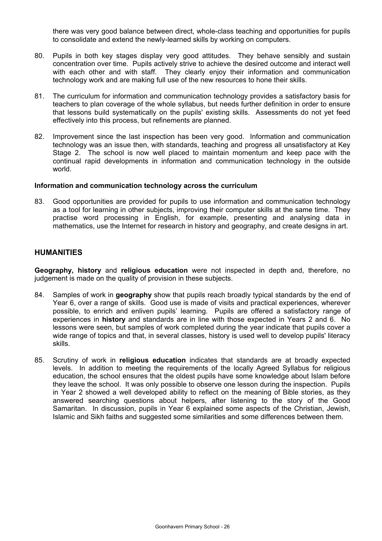there was very good balance between direct, whole-class teaching and opportunities for pupils to consolidate and extend the newly-learned skills by working on computers.

- 80. Pupils in both key stages display very good attitudes. They behave sensibly and sustain concentration over time. Pupils actively strive to achieve the desired outcome and interact well with each other and with staff. They clearly enjoy their information and communication technology work and are making full use of the new resources to hone their skills.
- 81. The curriculum for information and communication technology provides a satisfactory basis for teachers to plan coverage of the whole syllabus, but needs further definition in order to ensure that lessons build systematically on the pupils' existing skills. Assessments do not yet feed effectively into this process, but refinements are planned.
- 82. Improvement since the last inspection has been very good. Information and communication technology was an issue then, with standards, teaching and progress all unsatisfactory at Key Stage 2. The school is now well placed to maintain momentum and keep pace with the continual rapid developments in information and communication technology in the outside world.

#### **Information and communication technology across the curriculum**

83. Good opportunities are provided for pupils to use information and communication technology as a tool for learning in other subjects, improving their computer skills at the same time. They practise word processing in English, for example, presenting and analysing data in mathematics, use the Internet for research in history and geography, and create designs in art.

## **HUMANITIES**

**Geography, history** and **religious education** were not inspected in depth and, therefore, no judgement is made on the quality of provision in these subjects.

- 84. Samples of work in **geography** show that pupils reach broadly typical standards by the end of Year 6, over a range of skills. Good use is made of visits and practical experiences, wherever possible, to enrich and enliven pupils' learning. Pupils are offered a satisfactory range of experiences in **history** and standards are in line with those expected in Years 2 and 6. No lessons were seen, but samples of work completed during the year indicate that pupils cover a wide range of topics and that, in several classes, history is used well to develop pupils' literacy skills.
- 85. Scrutiny of work in **religious education** indicates that standards are at broadly expected levels. In addition to meeting the requirements of the locally Agreed Syllabus for religious education, the school ensures that the oldest pupils have some knowledge about Islam before they leave the school. It was only possible to observe one lesson during the inspection. Pupils in Year 2 showed a well developed ability to reflect on the meaning of Bible stories, as they answered searching questions about helpers, after listening to the story of the Good Samaritan. In discussion, pupils in Year 6 explained some aspects of the Christian, Jewish, Islamic and Sikh faiths and suggested some similarities and some differences between them.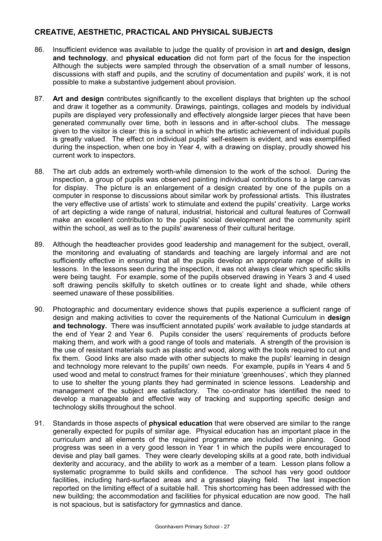# **CREATIVE, AESTHETIC, PRACTICAL AND PHYSICAL SUBJECTS**

- 86. Insufficient evidence was available to judge the quality of provision in a**rt and design, design and technology**, and **physical education** did not form part of the focus for the inspection Although the subjects were sampled through the observation of a small number of lessons, discussions with staff and pupils, and the scrutiny of documentation and pupils' work, it is not possible to make a substantive judgement about provision.
- 87. **Art and design** contributes significantly to the excellent displays that brighten up the school and draw it together as a community. Drawings, paintings, collages and models by individual pupils are displayed very professionally and effectively alongside larger pieces that have been generated communally over time, both in lessons and in after-school clubs. The message given to the visitor is clear: this is a school in which the artistic achievement of individual pupils is greatly valued. The effect on individual pupils' self-esteem is evident, and was exemplified during the inspection, when one boy in Year 4, with a drawing on display, proudly showed his current work to inspectors.
- 88. The art club adds an extremely worth-while dimension to the work of the school. During the inspection, a group of pupils was observed painting individual contributions to a large canvas for display. The picture is an enlargement of a design created by one of the pupils on a computer in response to discussions about similar work by professional artists. This illustrates the very effective use of artists' work to stimulate and extend the pupils' creativity. Large works of art depicting a wide range of natural, industrial, historical and cultural features of Cornwall make an excellent contribution to the pupils' social development and the community spirit within the school, as well as to the pupils' awareness of their cultural heritage.
- 89. Although the headteacher provides good leadership and management for the subject, overall, the monitoring and evaluating of standards and teaching are largely informal and are not sufficiently effective in ensuring that all the pupils develop an appropriate range of skills in lessons. In the lessons seen during the inspection, it was not always clear which specific skills were being taught. For example, some of the pupils observed drawing in Years 3 and 4 used soft drawing pencils skilfully to sketch outlines or to create light and shade, while others seemed unaware of these possibilities.
- 90. Photographic and documentary evidence shows that pupils experience a sufficient range of design and making activities to cover the requirements of the National Curriculum in **design and technology.** There was insufficient annotated pupils' work available to judge standards at the end of Year 2 and Year 6. Pupils consider the users' requirements of products before making them, and work with a good range of tools and materials. A strength of the provision is the use of resistant materials such as plastic and wood, along with the tools required to cut and fix them. Good links are also made with other subjects to make the pupils' learning in design and technology more relevant to the pupils' own needs. For example, pupils in Years 4 and 5 used wood and metal to construct frames for their miniature 'greenhouses', which they planned to use to shelter the young plants they had germinated in science lessons. Leadership and management of the subject are satisfactory. The co-ordinator has identified the need to develop a manageable and effective way of tracking and supporting specific design and technology skills throughout the school.
- 91. Standards in those aspects of **physical education** that were observed are similar to the range generally expected for pupils of similar age. Physical education has an important place in the curriculum and all elements of the required programme are included in planning. Good progress was seen in a very good lesson in Year 1 in which the pupils were encouraged to devise and play ball games. They were clearly developing skills at a good rate, both individual dexterity and accuracy, and the ability to work as a member of a team. Lesson plans follow a systematic programme to build skills and confidence. The school has very good outdoor facilities, including hard-surfaced areas and a grassed playing field. The last inspection reported on the limiting effect of a suitable hall. This shortcoming has been addressed with the new building; the accommodation and facilities for physical education are now good. The hall is not spacious, but is satisfactory for gymnastics and dance.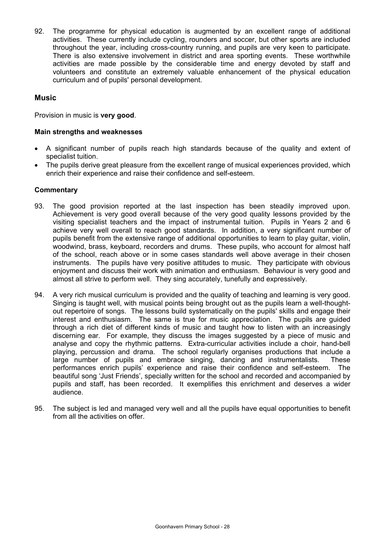92. The programme for physical education is augmented by an excellent range of additional activities. These currently include cycling, rounders and soccer, but other sports are included throughout the year, including cross-country running, and pupils are very keen to participate. There is also extensive involvement in district and area sporting events. These worthwhile activities are made possible by the considerable time and energy devoted by staff and volunteers and constitute an extremely valuable enhancement of the physical education curriculum and of pupils' personal development.

## **Music**

Provision in music is **very good**.

#### **Main strengths and weaknesses**

- A significant number of pupils reach high standards because of the quality and extent of specialist tuition.
- The pupils derive great pleasure from the excellent range of musical experiences provided, which enrich their experience and raise their confidence and self-esteem.

- 93. The good provision reported at the last inspection has been steadily improved upon. Achievement is very good overall because of the very good quality lessons provided by the visiting specialist teachers and the impact of instrumental tuition. Pupils in Years 2 and 6 achieve very well overall to reach good standards. In addition, a very significant number of pupils benefit from the extensive range of additional opportunities to learn to play guitar, violin, woodwind, brass, keyboard, recorders and drums. These pupils, who account for almost half of the school, reach above or in some cases standards well above average in their chosen instruments. The pupils have very positive attitudes to music. They participate with obvious enjoyment and discuss their work with animation and enthusiasm. Behaviour is very good and almost all strive to perform well. They sing accurately, tunefully and expressively.
- 94. A very rich musical curriculum is provided and the quality of teaching and learning is very good. Singing is taught well, with musical points being brought out as the pupils learn a well-thoughtout repertoire of songs. The lessons build systematically on the pupils' skills and engage their interest and enthusiasm. The same is true for music appreciation. The pupils are guided through a rich diet of different kinds of music and taught how to listen with an increasingly discerning ear. For example, they discuss the images suggested by a piece of music and analyse and copy the rhythmic patterns. Extra-curricular activities include a choir, hand-bell playing, percussion and drama. The school regularly organises productions that include a large number of pupils and embrace singing, dancing and instrumentalists. These performances enrich pupils' experience and raise their confidence and self-esteem. The beautiful song 'Just Friends', specially written for the school and recorded and accompanied by pupils and staff, has been recorded. It exemplifies this enrichment and deserves a wider audience.
- 95. The subject is led and managed very well and all the pupils have equal opportunities to benefit from all the activities on offer.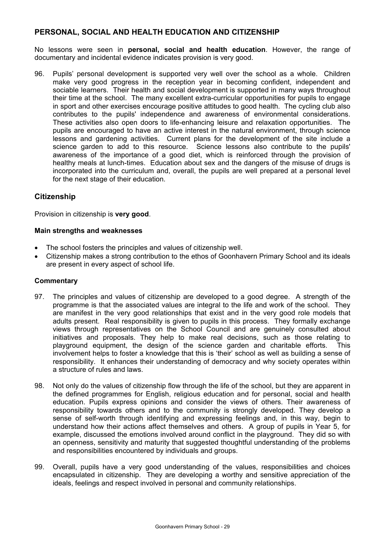# **PERSONAL, SOCIAL AND HEALTH EDUCATION AND CITIZENSHIP**

No lessons were seen in **personal, social and health education**. However, the range of documentary and incidental evidence indicates provision is very good.

96. Pupils' personal development is supported very well over the school as a whole. Children make very good progress in the reception year in becoming confident, independent and sociable learners. Their health and social development is supported in many ways throughout their time at the school. The many excellent extra-curricular opportunities for pupils to engage in sport and other exercises encourage positive attitudes to good health. The cycling club also contributes to the pupils' independence and awareness of environmental considerations. These activities also open doors to life-enhancing leisure and relaxation opportunities. The pupils are encouraged to have an active interest in the natural environment, through science lessons and gardening activities. Current plans for the development of the site include a science garden to add to this resource. Science lessons also contribute to the pupils' awareness of the importance of a good diet, which is reinforced through the provision of healthy meals at lunch-times. Education about sex and the dangers of the misuse of drugs is incorporated into the curriculum and, overall, the pupils are well prepared at a personal level for the next stage of their education.

# **Citizenship**

Provision in citizenship is **very good**.

#### **Main strengths and weaknesses**

- The school fosters the principles and values of citizenship well.
- Citizenship makes a strong contribution to the ethos of Goonhavern Primary School and its ideals are present in every aspect of school life.

- 97. The principles and values of citizenship are developed to a good degree. A strength of the programme is that the associated values are integral to the life and work of the school. They are manifest in the very good relationships that exist and in the very good role models that adults present. Real responsibility is given to pupils in this process. They formally exchange views through representatives on the School Council and are genuinely consulted about initiatives and proposals. They help to make real decisions, such as those relating to playground equipment, the design of the science garden and charitable efforts. This involvement helps to foster a knowledge that this is 'their' school as well as building a sense of responsibility. It enhances their understanding of democracy and why society operates within a structure of rules and laws.
- 98. Not only do the values of citizenship flow through the life of the school, but they are apparent in the defined programmes for English, religious education and for personal, social and health education. Pupils express opinions and consider the views of others. Their awareness of responsibility towards others and to the community is strongly developed. They develop a sense of self-worth through identifying and expressing feelings and, in this way, begin to understand how their actions affect themselves and others. A group of pupils in Year 5, for example, discussed the emotions involved around conflict in the playground. They did so with an openness, sensitivity and maturity that suggested thoughtful understanding of the problems and responsibilities encountered by individuals and groups.
- 99. Overall, pupils have a very good understanding of the values, responsibilities and choices encapsulated in citizenship. They are developing a worthy and sensitive appreciation of the ideals, feelings and respect involved in personal and community relationships.